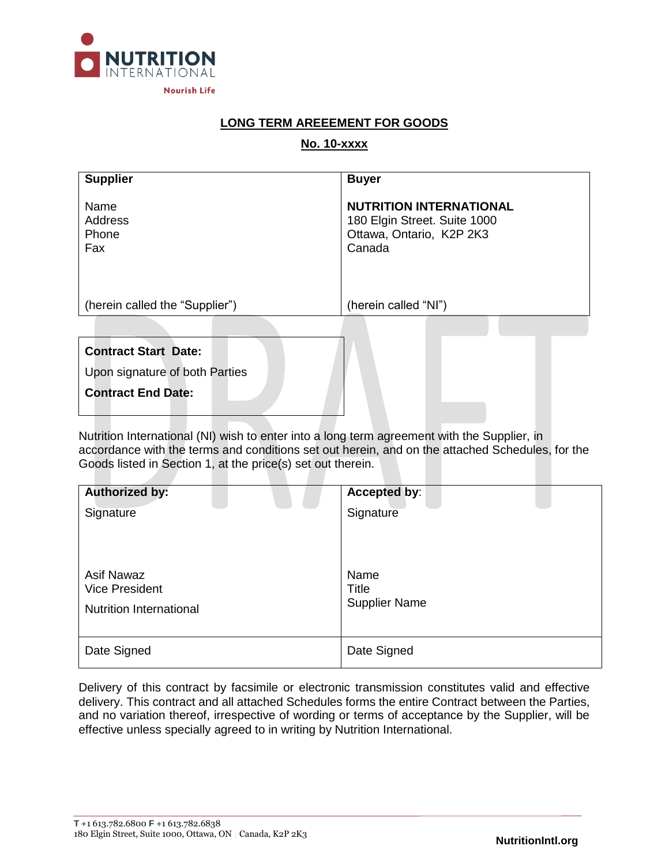

# **LONG TERM AREEEMENT FOR GOODS**

# **No. 10-xxxx**

| <b>Supplier</b>                 | <b>Buyer</b>                                                                                         |
|---------------------------------|------------------------------------------------------------------------------------------------------|
| Name<br>Address<br>Phone<br>Fax | <b>NUTRITION INTERNATIONAL</b><br>180 Elgin Street. Suite 1000<br>Ottawa, Ontario, K2P 2K3<br>Canada |
| (herein called the "Supplier")  | (herein called "NI")                                                                                 |
|                                 |                                                                                                      |
| <b>Contract Start Date:</b>     |                                                                                                      |
| Upon signature of both Parties  |                                                                                                      |
| <b>Contract End Date:</b>       |                                                                                                      |

Nutrition International (NI) wish to enter into a long term agreement with the Supplier, in accordance with the terms and conditions set out herein, and on the attached Schedules, for the Goods listed in Section 1, at the price(s) set out therein.

| <b>Authorized by:</b>                                                        | Accepted by:                                 |
|------------------------------------------------------------------------------|----------------------------------------------|
| Signature                                                                    | Signature                                    |
| <b>Asif Nawaz</b><br><b>Vice President</b><br><b>Nutrition International</b> | Name<br><b>Title</b><br><b>Supplier Name</b> |
| Date Signed                                                                  | Date Signed                                  |

Delivery of this contract by facsimile or electronic transmission constitutes valid and effective delivery. This contract and all attached Schedules forms the entire Contract between the Parties, and no variation thereof, irrespective of wording or terms of acceptance by the Supplier, will be effective unless specially agreed to in writing by Nutrition International.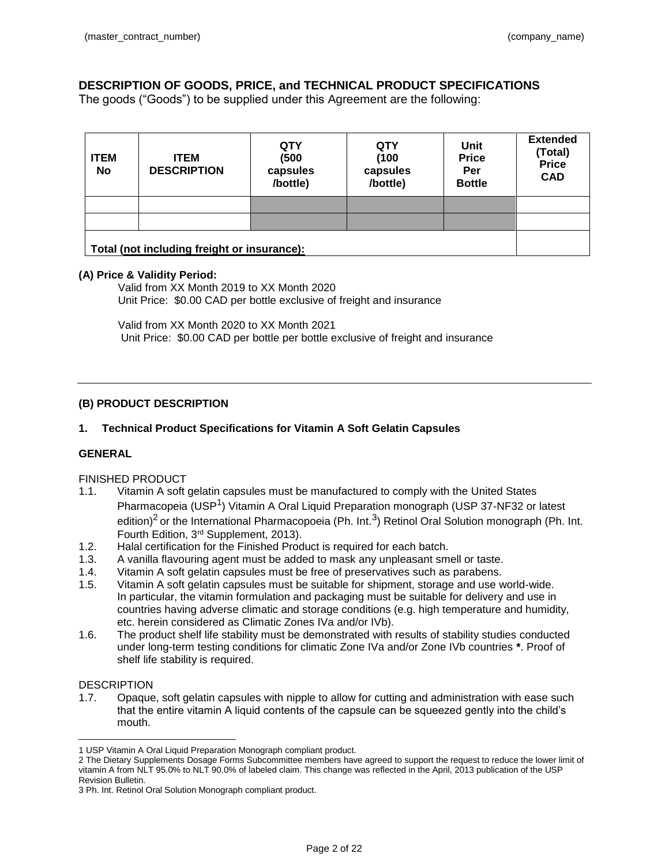# **DESCRIPTION OF GOODS, PRICE, and TECHNICAL PRODUCT SPECIFICATIONS**

The goods ("Goods") to be supplied under this Agreement are the following:

| <b>ITEM</b><br><b>No</b> | <b>ITEM</b><br><b>DESCRIPTION</b>           | <b>QTY</b><br>(500)<br>capsules<br>/bottle) | <b>QTY</b><br>(100)<br>capsules<br>/bottle) | Unit<br><b>Price</b><br>Per<br><b>Bottle</b> | <b>Extended</b><br>(Total)<br><b>Price</b><br><b>CAD</b> |
|--------------------------|---------------------------------------------|---------------------------------------------|---------------------------------------------|----------------------------------------------|----------------------------------------------------------|
|                          |                                             |                                             |                                             |                                              |                                                          |
|                          |                                             |                                             |                                             |                                              |                                                          |
|                          | Total (not including freight or insurance): |                                             |                                             |                                              |                                                          |

#### **(A) Price & Validity Period:**

Valid from XX Month 2019 to XX Month 2020 Unit Price: \$0.00 CAD per bottle exclusive of freight and insurance

Valid from XX Month 2020 to XX Month 2021 Unit Price: \$0.00 CAD per bottle per bottle exclusive of freight and insurance

## **(B) PRODUCT DESCRIPTION**

## **1. Technical Product Specifications for Vitamin A Soft Gelatin Capsules**

### **GENERAL**

### FINISHED PRODUCT

- 1.1. Vitamin A soft gelatin capsules must be manufactured to comply with the United States Pharmacopeia (USP<sup>1</sup>) Vitamin A Oral Liquid Preparation monograph (USP 37-NF32 or latest edition)<sup>2</sup> or the International Pharmacopoeia (Ph. Int.<sup>3</sup>) Retinol Oral Solution monograph (Ph. Int. Fourth Edition, 3rd Supplement, 2013).
- 1.2. Halal certification for the Finished Product is required for each batch.
- 1.3. A vanilla flavouring agent must be added to mask any unpleasant smell or taste.
- 1.4. Vitamin A soft gelatin capsules must be free of preservatives such as parabens.
- 1.5. Vitamin A soft gelatin capsules must be suitable for shipment, storage and use world-wide. In particular, the vitamin formulation and packaging must be suitable for delivery and use in countries having adverse climatic and storage conditions (e.g. high temperature and humidity, etc. herein considered as Climatic Zones IVa and/or IVb).
- 1.6. The product shelf life stability must be demonstrated with results of stability studies conducted under long-term testing conditions for climatic Zone IVa and/or Zone IVb countries **\***. Proof of shelf life stability is required.

#### **DESCRIPTION**

 $\overline{a}$ 

1.7. Opaque, soft gelatin capsules with nipple to allow for cutting and administration with ease such that the entire vitamin A liquid contents of the capsule can be squeezed gently into the child's mouth.

<sup>1</sup> USP Vitamin A Oral Liquid Preparation Monograph compliant product.

<sup>2</sup> The Dietary Supplements Dosage Forms Subcommittee members have agreed to support the request to reduce the lower limit of vitamin A from NLT 95.0% to NLT 90.0% of labeled claim. This change was reflected in the April, 2013 publication of the USP Revision Bulletin.

<sup>3</sup> Ph. Int. Retinol Oral Solution Monograph compliant product.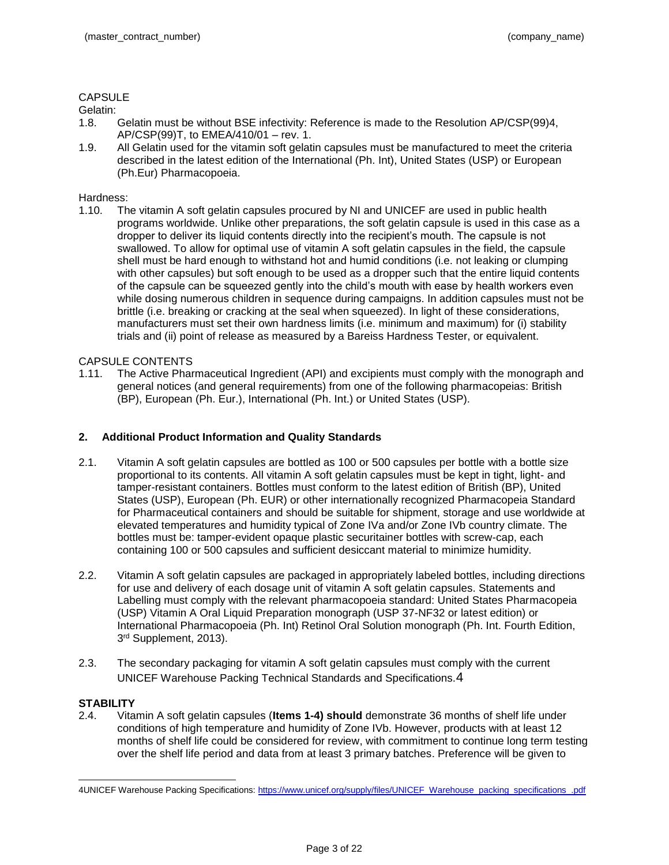# **CAPSULE**

### Gelatin:

- 1.8. Gelatin must be without BSE infectivity: Reference is made to the Resolution AP/CSP(99)4, AP/CSP(99)T, to EMEA/410/01 – rev. 1.
- 1.9. All Gelatin used for the vitamin soft gelatin capsules must be manufactured to meet the criteria described in the latest edition of the International (Ph. Int), United States (USP) or European (Ph.Eur) Pharmacopoeia.

## Hardness:

1.10. The vitamin A soft gelatin capsules procured by NI and UNICEF are used in public health programs worldwide. Unlike other preparations, the soft gelatin capsule is used in this case as a dropper to deliver its liquid contents directly into the recipient's mouth. The capsule is not swallowed. To allow for optimal use of vitamin A soft gelatin capsules in the field, the capsule shell must be hard enough to withstand hot and humid conditions (i.e. not leaking or clumping with other capsules) but soft enough to be used as a dropper such that the entire liquid contents of the capsule can be squeezed gently into the child's mouth with ease by health workers even while dosing numerous children in sequence during campaigns. In addition capsules must not be brittle (i.e. breaking or cracking at the seal when squeezed). In light of these considerations, manufacturers must set their own hardness limits (i.e. minimum and maximum) for (i) stability trials and (ii) point of release as measured by a Bareiss Hardness Tester, or equivalent.

## CAPSULE CONTENTS

1.11. The Active Pharmaceutical Ingredient (API) and excipients must comply with the monograph and general notices (and general requirements) from one of the following pharmacopeias: British (BP), European (Ph. Eur.), International (Ph. Int.) or United States (USP).

## **2. Additional Product Information and Quality Standards**

- 2.1. Vitamin A soft gelatin capsules are bottled as 100 or 500 capsules per bottle with a bottle size proportional to its contents. All vitamin A soft gelatin capsules must be kept in tight, light- and tamper-resistant containers. Bottles must conform to the latest edition of British (BP), United States (USP), European (Ph. EUR) or other internationally recognized Pharmacopeia Standard for Pharmaceutical containers and should be suitable for shipment, storage and use worldwide at elevated temperatures and humidity typical of Zone IVa and/or Zone IVb country climate. The bottles must be: tamper-evident opaque plastic securitainer bottles with screw-cap, each containing 100 or 500 capsules and sufficient desiccant material to minimize humidity.
- 2.2. Vitamin A soft gelatin capsules are packaged in appropriately labeled bottles, including directions for use and delivery of each dosage unit of vitamin A soft gelatin capsules. Statements and Labelling must comply with the relevant pharmacopoeia standard: United States Pharmacopeia (USP) Vitamin A Oral Liquid Preparation monograph (USP 37-NF32 or latest edition) or International Pharmacopoeia (Ph. Int) Retinol Oral Solution monograph (Ph. Int. Fourth Edition, 3 rd Supplement, 2013).
- 2.3. The secondary packaging for vitamin A soft gelatin capsules must comply with the current UNICEF Warehouse Packing Technical Standards and Specifications.4

### **STABILITY**

 $\overline{a}$ 

2.4. Vitamin A soft gelatin capsules (**Items 1-4) should** demonstrate 36 months of shelf life under conditions of high temperature and humidity of Zone IVb. However, products with at least 12 months of shelf life could be considered for review, with commitment to continue long term testing over the shelf life period and data from at least 3 primary batches. Preference will be given to

<sup>4</sup>UNICEF Warehouse Packing Specifications: [https://www.unicef.org/supply/files/UNICEF\\_Warehouse\\_packing\\_specifications\\_.pdf](https://www.unicef.org/supply/files/UNICEF_Warehouse_packing_specifications_.pdf)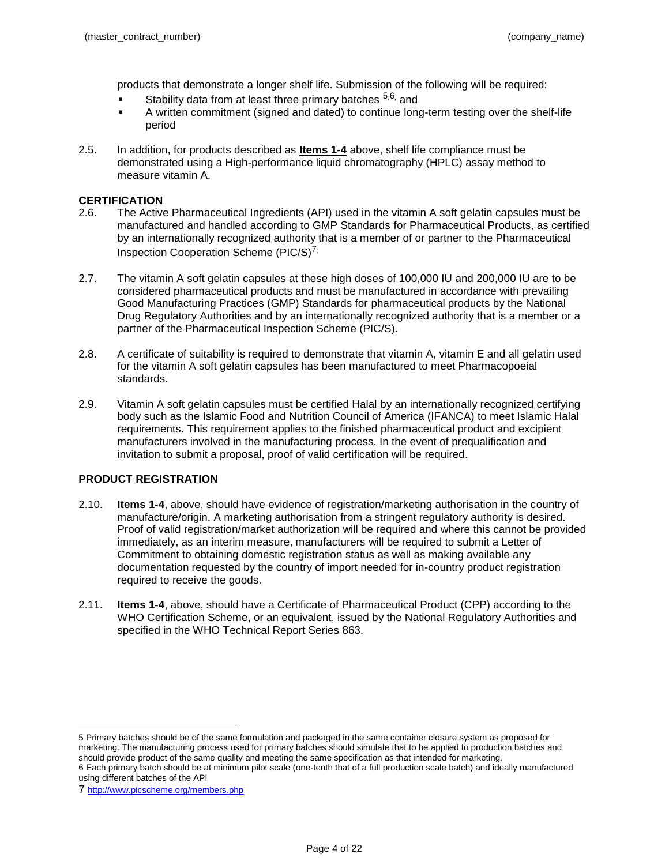products that demonstrate a longer shelf life. Submission of the following will be required:

- Stability data from at least three primary batches <sup>5,6,</sup> and
- A written commitment (signed and dated) to continue long-term testing over the shelf-life period
- 2.5. In addition, for products described as **Items 1-4** above, shelf life compliance must be demonstrated using a High-performance liquid chromatography (HPLC) assay method to measure vitamin A.

#### **CERTIFICATION**

- 2.6. The Active Pharmaceutical Ingredients (API) used in the vitamin A soft gelatin capsules must be manufactured and handled according to GMP Standards for Pharmaceutical Products, as certified by an internationally recognized authority that is a member of or partner to the Pharmaceutical Inspection Cooperation Scheme (PIC/S)7.
- 2.7. The vitamin A soft gelatin capsules at these high doses of 100,000 IU and 200,000 IU are to be considered pharmaceutical products and must be manufactured in accordance with prevailing Good Manufacturing Practices (GMP) Standards for pharmaceutical products by the National Drug Regulatory Authorities and by an internationally recognized authority that is a member or a partner of the Pharmaceutical Inspection Scheme (PIC/S).
- 2.8. A certificate of suitability is required to demonstrate that vitamin A, vitamin E and all gelatin used for the vitamin A soft gelatin capsules has been manufactured to meet Pharmacopoeial standards.
- 2.9. Vitamin A soft gelatin capsules must be certified Halal by an internationally recognized certifying body such as the Islamic Food and Nutrition Council of America (IFANCA) to meet Islamic Halal requirements. This requirement applies to the finished pharmaceutical product and excipient manufacturers involved in the manufacturing process. In the event of prequalification and invitation to submit a proposal, proof of valid certification will be required.

### **PRODUCT REGISTRATION**

- 2.10. **Items 1-4**, above, should have evidence of registration/marketing authorisation in the country of manufacture/origin. A marketing authorisation from a stringent regulatory authority is desired. Proof of valid registration/market authorization will be required and where this cannot be provided immediately, as an interim measure, manufacturers will be required to submit a Letter of Commitment to obtaining domestic registration status as well as making available any documentation requested by the country of import needed for in-country product registration required to receive the goods.
- 2.11. **Items 1-4**, above, should have a Certificate of Pharmaceutical Product (CPP) according to the WHO Certification Scheme, or an equivalent, issued by the National Regulatory Authorities and specified in the WHO Technical Report Series 863.

 5 Primary batches should be of the same formulation and packaged in the same container closure system as proposed for marketing. The manufacturing process used for primary batches should simulate that to be applied to production batches and should provide product of the same quality and meeting the same specification as that intended for marketing. 6 Each primary batch should be at minimum pilot scale (one-tenth that of a full production scale batch) and ideally manufactured using different batches of the API

<sup>7</sup> <http://www.picscheme.org/members.php>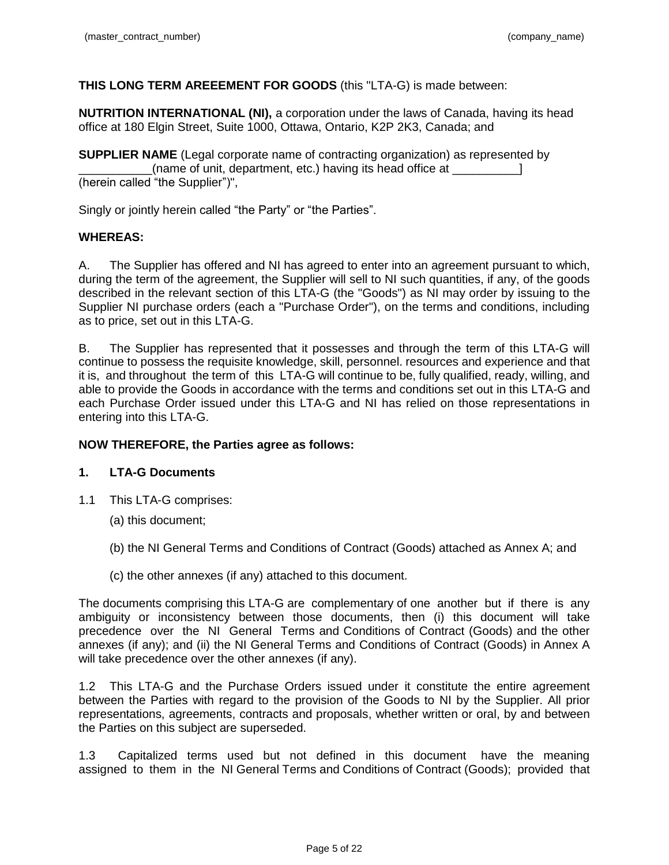# **THIS LONG TERM AREEEMENT FOR GOODS** (this "LTA-G) is made between:

**NUTRITION INTERNATIONAL (NI),** a corporation under the laws of Canada, having its head office at 180 Elgin Street, Suite 1000, Ottawa, Ontario, K2P 2K3, Canada; and

**SUPPLIER NAME** (Legal corporate name of contracting organization) as represented by \_\_\_\_\_\_\_\_\_\_\_(name of unit, department, etc.) having its head office at \_\_\_\_\_\_\_\_\_\_] (herein called "the Supplier")",

Singly or jointly herein called "the Party" or "the Parties".

# **WHEREAS:**

A. The Supplier has offered and NI has agreed to enter into an agreement pursuant to which, during the term of the agreement, the Supplier will sell to NI such quantities, if any, of the goods described in the relevant section of this LTA-G (the "Goods") as NI may order by issuing to the Supplier NI purchase orders (each a "Purchase Order"), on the terms and conditions, including as to price, set out in this LTA-G.

B. The Supplier has represented that it possesses and through the term of this LTA-G will continue to possess the requisite knowledge, skill, personnel. resources and experience and that it is, and throughout the term of this LTA-G will continue to be, fully qualified, ready, willing, and able to provide the Goods in accordance with the terms and conditions set out in this LTA-G and each Purchase Order issued under this LTA-G and NI has relied on those representations in entering into this LTA-G.

# **NOW THEREFORE, the Parties agree as follows:**

# **1. LTA-G Documents**

- 1.1 This LTA-G comprises:
	- (a) this document;
	- (b) the NI General Terms and Conditions of Contract (Goods) attached as Annex A; and
	- (c) the other annexes (if any) attached to this document.

The documents comprising this LTA-G are complementary of one another but if there is any ambiguity or inconsistency between those documents, then (i) this document will take precedence over the NI General Terms and Conditions of Contract (Goods) and the other annexes (if any); and (ii) the NI General Terms and Conditions of Contract (Goods) in Annex A will take precedence over the other annexes (if any).

1.2 This LTA-G and the Purchase Orders issued under it constitute the entire agreement between the Parties with regard to the provision of the Goods to NI by the Supplier. All prior representations, agreements, contracts and proposals, whether written or oral, by and between the Parties on this subject are superseded.

1.3 Capitalized terms used but not defined in this document have the meaning assigned to them in the NI General Terms and Conditions of Contract (Goods); provided that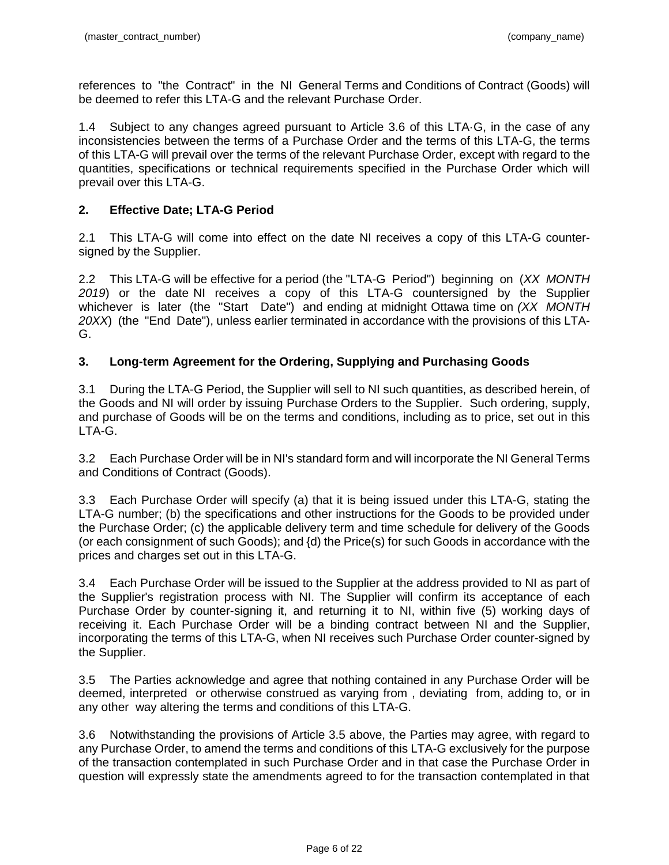references to "the Contract" in the NI General Terms and Conditions of Contract (Goods) will be deemed to refer this LTA-G and the relevant Purchase Order.

1.4 Subject to any changes agreed pursuant to Article 3.6 of this LTA·G, in the case of any inconsistencies between the terms of a Purchase Order and the terms of this LTA-G, the terms of this LTA-G will prevail over the terms of the relevant Purchase Order, except with regard to the quantities, specifications or technical requirements specified in the Purchase Order which will prevail over this LTA-G.

# **2. Effective Date; LTA-G Period**

2.1 This LTA-G will come into effect on the date NI receives a copy of this LTA-G countersigned by the Supplier.

2.2 This LTA-G will be effective for a period (the "LTA-G Period") beginning on (*XX MONTH 2019*) or the date NI receives a copy of this LTA-G countersigned by the Supplier whichever is later (the "Start Date") and ending at midnight Ottawa time on *(XX MONTH 20XX*) (the "End Date"), unless earlier terminated in accordance with the provisions of this LTA-G.

# **3. Long-term Agreement for the Ordering, Supplying and Purchasing Goods**

3.1 During the LTA-G Period, the Supplier will sell to NI such quantities, as described herein, of the Goods and NI will order by issuing Purchase Orders to the Supplier. Such ordering, supply, and purchase of Goods will be on the terms and conditions, including as to price, set out in this LTA-G.

3.2 Each Purchase Order will be in NI's standard form and will incorporate the NI General Terms and Conditions of Contract (Goods).

3.3 Each Purchase Order will specify (a) that it is being issued under this LTA-G, stating the LTA-G number; (b) the specifications and other instructions for the Goods to be provided under the Purchase Order; (c) the applicable delivery term and time schedule for delivery of the Goods (or each consignment of such Goods); and {d) the Price(s) for such Goods in accordance with the prices and charges set out in this LTA-G.

3.4 Each Purchase Order will be issued to the Supplier at the address provided to NI as part of the Supplier's registration process with NI. The Supplier will confirm its acceptance of each Purchase Order by counter-signing it, and returning it to NI, within five (5) working days of receiving it. Each Purchase Order will be a binding contract between NI and the Supplier, incorporating the terms of this LTA-G, when NI receives such Purchase Order counter-signed by the Supplier.

3.5 The Parties acknowledge and agree that nothing contained in any Purchase Order will be deemed, interpreted or otherwise construed as varying from , deviating from, adding to, or in any other way altering the terms and conditions of this LTA-G.

3.6 Notwithstanding the provisions of Article 3.5 above, the Parties may agree, with regard to any Purchase Order, to amend the terms and conditions of this LTA-G exclusively for the purpose of the transaction contemplated in such Purchase Order and in that case the Purchase Order in question will expressly state the amendments agreed to for the transaction contemplated in that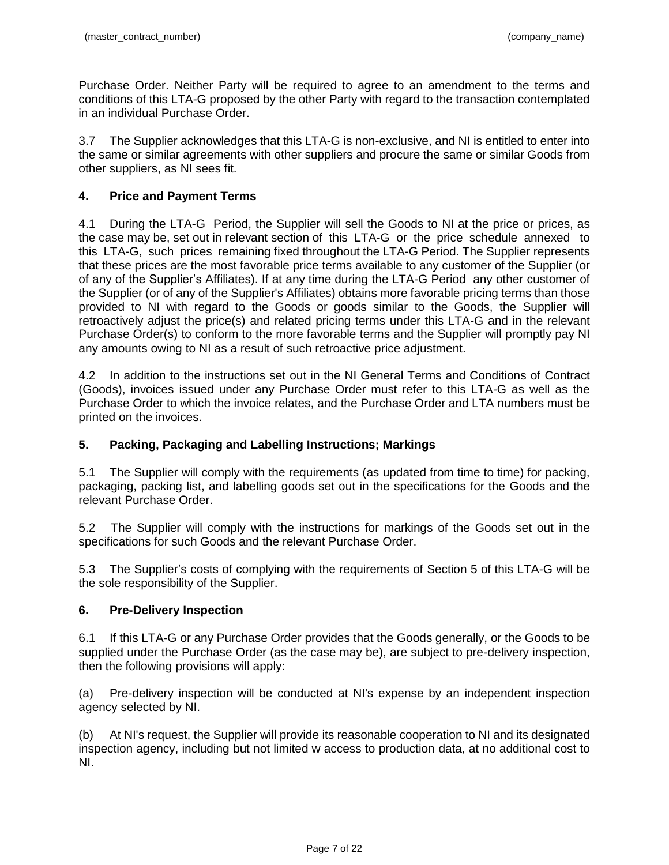Purchase Order. Neither Party will be required to agree to an amendment to the terms and conditions of this LTA-G proposed by the other Party with regard to the transaction contemplated in an individual Purchase Order.

3.7 The Supplier acknowledges that this LTA-G is non-exclusive, and NI is entitled to enter into the same or similar agreements with other suppliers and procure the same or similar Goods from other suppliers, as NI sees fit.

# **4. Price and Payment Terms**

4.1 During the LTA-G Period, the Supplier will sell the Goods to NI at the price or prices, as the case may be, set out in relevant section of this LTA-G or the price schedule annexed to this LTA-G, such prices remaining fixed throughout the LTA-G Period. The Supplier represents that these prices are the most favorable price terms available to any customer of the Supplier (or of any of the Supplier's Affiliates). If at any time during the LTA-G Period any other customer of the Supplier (or of any of the Supplier's Affiliates) obtains more favorable pricing terms than those provided to NI with regard to the Goods or goods similar to the Goods, the Supplier will retroactively adjust the price(s) and related pricing terms under this LTA-G and in the relevant Purchase Order(s) to conform to the more favorable terms and the Supplier will promptly pay NI any amounts owing to NI as a result of such retroactive price adjustment.

4.2 In addition to the instructions set out in the NI General Terms and Conditions of Contract (Goods), invoices issued under any Purchase Order must refer to this LTA-G as well as the Purchase Order to which the invoice relates, and the Purchase Order and LTA numbers must be printed on the invoices.

# **5. Packing, Packaging and Labelling Instructions; Markings**

5.1 The Supplier will comply with the requirements (as updated from time to time) for packing, packaging, packing list, and labelling goods set out in the specifications for the Goods and the relevant Purchase Order.

5.2 The Supplier will comply with the instructions for markings of the Goods set out in the specifications for such Goods and the relevant Purchase Order.

5.3 The Supplier's costs of complying with the requirements of Section 5 of this LTA-G will be the sole responsibility of the Supplier.

# **6. Pre-Delivery Inspection**

6.1 If this LTA-G or any Purchase Order provides that the Goods generally, or the Goods to be supplied under the Purchase Order (as the case may be), are subject to pre-delivery inspection, then the following provisions will apply:

(a) Pre-delivery inspection will be conducted at NI's expense by an independent inspection agency selected by NI.

(b) At NI's request, the Supplier will provide its reasonable cooperation to NI and its designated inspection agency, including but not limited w access to production data, at no additional cost to NI.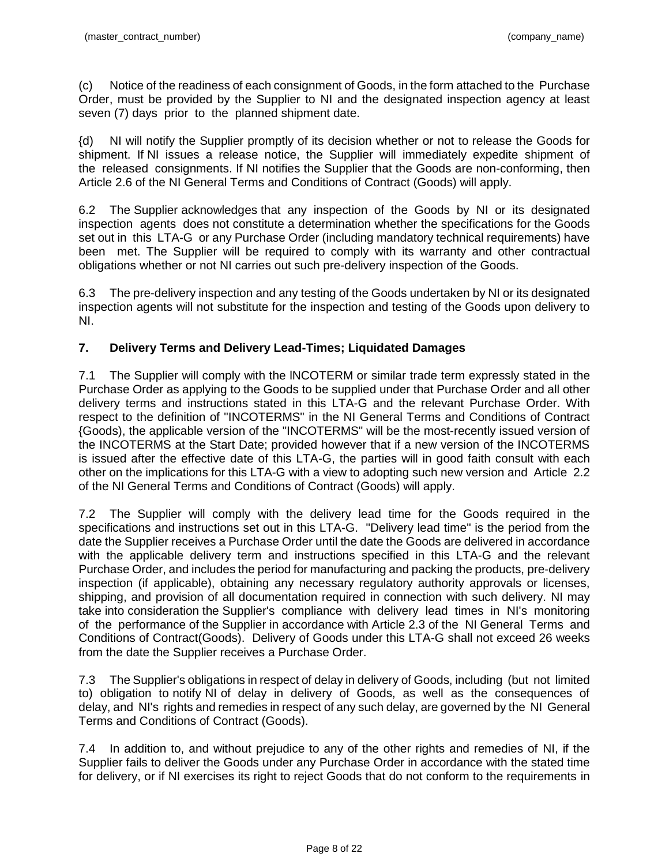(c) Notice of the readiness of each consignment of Goods, in the form attached to the Purchase Order, must be provided by the Supplier to NI and the designated inspection agency at least seven (7) days prior to the planned shipment date.

{d) NI will notify the Supplier promptly of its decision whether or not to release the Goods for shipment. If NI issues a release notice, the Supplier will immediately expedite shipment of the released consignments. If NI notifies the Supplier that the Goods are non-conforming, then Article 2.6 of the NI General Terms and Conditions of Contract (Goods) will apply.

6.2 The Supplier acknowledges that any inspection of the Goods by NI or its designated inspection agents does not constitute a determination whether the specifications for the Goods set out in this LTA-G or any Purchase Order (including mandatory technical requirements) have been met. The Supplier will be required to comply with its warranty and other contractual obligations whether or not NI carries out such pre-delivery inspection of the Goods.

6.3 The pre-delivery inspection and any testing of the Goods undertaken by NI or its designated inspection agents will not substitute for the inspection and testing of the Goods upon delivery to NI.

# **7. Delivery Terms and Delivery Lead-Times; Liquidated Damages**

7.1 The Supplier will comply with the lNCOTERM or similar trade term expressly stated in the Purchase Order as applying to the Goods to be supplied under that Purchase Order and all other delivery terms and instructions stated in this LTA-G and the relevant Purchase Order. With respect to the definition of "INCOTERMS" in the NI General Terms and Conditions of Contract {Goods), the applicable version of the "INCOTERMS" will be the most-recently issued version of the INCOTERMS at the Start Date; provided however that if a new version of the INCOTERMS is issued after the effective date of this LTA-G, the parties will in good faith consult with each other on the implications for this LTA-G with a view to adopting such new version and Article 2.2 of the NI General Terms and Conditions of Contract (Goods) will apply.

7.2 The Supplier will comply with the delivery lead time for the Goods required in the specifications and instructions set out in this LTA-G. "Delivery lead time" is the period from the date the Supplier receives a Purchase Order until the date the Goods are delivered in accordance with the applicable delivery term and instructions specified in this LTA-G and the relevant Purchase Order, and includes the period for manufacturing and packing the products, pre-delivery inspection (if applicable), obtaining any necessary regulatory authority approvals or licenses, shipping, and provision of all documentation required in connection with such delivery. NI may take into consideration the Supplier's compliance with delivery lead times in NI's monitoring of the performance of the Supplier in accordance with Article 2.3 of the NI General Terms and Conditions of Contract(Goods). Delivery of Goods under this LTA-G shall not exceed 26 weeks from the date the Supplier receives a Purchase Order.

7.3 The Supplier's obligations in respect of delay in delivery of Goods, including (but not limited to) obligation to notify NI of delay in delivery of Goods, as well as the consequences of delay, and NI's rights and remedies in respect of any such delay, are governed by the NI General Terms and Conditions of Contract (Goods).

7.4 In addition to, and without prejudice to any of the other rights and remedies of NI, if the Supplier fails to deliver the Goods under any Purchase Order in accordance with the stated time for delivery, or if NI exercises its right to reject Goods that do not conform to the requirements in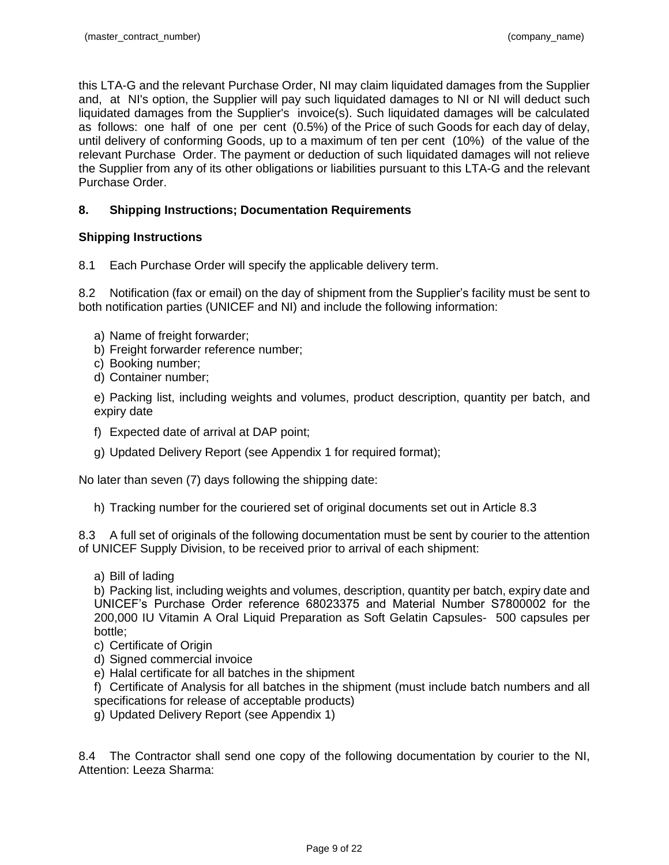this LTA-G and the relevant Purchase Order, NI may claim liquidated damages from the Supplier and, at NI's option, the Supplier will pay such liquidated damages to NI or NI will deduct such liquidated damages from the Supplier's invoice(s). Such liquidated damages will be calculated as follows: one half of one per cent (0.5%) of the Price of such Goods for each day of delay, until delivery of conforming Goods, up to a maximum of ten per cent (10%) of the value of the relevant Purchase Order. The payment or deduction of such liquidated damages will not relieve the Supplier from any of its other obligations or liabilities pursuant to this LTA-G and the relevant Purchase Order.

# **8. Shipping Instructions; Documentation Requirements**

# **Shipping Instructions**

8.1 Each Purchase Order will specify the applicable delivery term.

8.2 Notification (fax or email) on the day of shipment from the Supplier's facility must be sent to both notification parties (UNICEF and NI) and include the following information:

- a) Name of freight forwarder;
- b) Freight forwarder reference number;
- c) Booking number;
- d) Container number;

e) Packing list, including weights and volumes, product description, quantity per batch, and expiry date

- f) Expected date of arrival at DAP point;
- g) Updated Delivery Report (see Appendix 1 for required format);

No later than seven (7) days following the shipping date:

h) Tracking number for the couriered set of original documents set out in Article 8.3

8.3 A full set of originals of the following documentation must be sent by courier to the attention of UNICEF Supply Division, to be received prior to arrival of each shipment:

a) Bill of lading

b) Packing list, including weights and volumes, description, quantity per batch, expiry date and UNICEF's Purchase Order reference 68023375 and Material Number S7800002 for the 200,000 IU Vitamin A Oral Liquid Preparation as Soft Gelatin Capsules- 500 capsules per bottle;

- c) Certificate of Origin
- d) Signed commercial invoice
- e) Halal certificate for all batches in the shipment

f) Certificate of Analysis for all batches in the shipment (must include batch numbers and all specifications for release of acceptable products)

g) Updated Delivery Report (see Appendix 1)

8.4 The Contractor shall send one copy of the following documentation by courier to the NI, Attention: Leeza Sharma: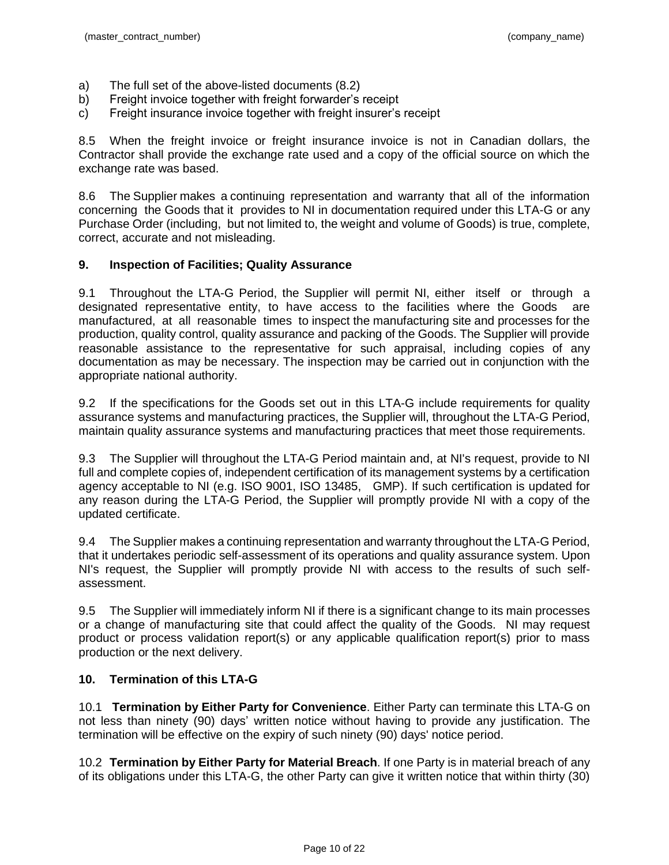- a) The full set of the above-listed documents (8.2)
- b) Freight invoice together with freight forwarder's receipt
- c) Freight insurance invoice together with freight insurer's receipt

8.5 When the freight invoice or freight insurance invoice is not in Canadian dollars, the Contractor shall provide the exchange rate used and a copy of the official source on which the exchange rate was based.

8.6 The Supplier makes a continuing representation and warranty that all of the information concerning the Goods that it provides to NI in documentation required under this LTA-G or any Purchase Order (including, but not limited to, the weight and volume of Goods) is true, complete, correct, accurate and not misleading.

# **9. Inspection of Facilities; Quality Assurance**

9.1 Throughout the LTA-G Period, the Supplier will permit NI, either itself or through a designated representative entity, to have access to the facilities where the Goods are manufactured, at all reasonable times to inspect the manufacturing site and processes for the production, quality control, quality assurance and packing of the Goods. The Supplier will provide reasonable assistance to the representative for such appraisal, including copies of any documentation as may be necessary. The inspection may be carried out in conjunction with the appropriate national authority.

9.2 If the specifications for the Goods set out in this LTA-G include requirements for quality assurance systems and manufacturing practices, the Supplier will, throughout the LTA-G Period, maintain quality assurance systems and manufacturing practices that meet those requirements.

9.3 The Supplier will throughout the LTA-G Period maintain and, at NI's request, provide to NI full and complete copies of, independent certification of its management systems by a certification agency acceptable to NI (e.g. ISO 9001, ISO 13485, GMP). If such certification is updated for any reason during the LTA-G Period, the Supplier will promptly provide NI with a copy of the updated certificate.

9.4 The Supplier makes a continuing representation and warranty throughout the LTA-G Period, that it undertakes periodic self-assessment of its operations and quality assurance system. Upon NI's request, the Supplier will promptly provide NI with access to the results of such selfassessment.

9.5 The Supplier will immediately inform NI if there is a significant change to its main processes or a change of manufacturing site that could affect the quality of the Goods. NI may request product or process validation report(s) or any applicable qualification report(s) prior to mass production or the next delivery.

# **10. Termination of this LTA-G**

10.1 **Termination by Either Party for Convenience**. Either Party can terminate this LTA-G on not less than ninety (90) days' written notice without having to provide any justification. The termination will be effective on the expiry of such ninety (90) days' notice period.

10.2 **Termination by Either Party for Material Breach**. If one Party is in material breach of any of its obligations under this LTA-G, the other Party can give it written notice that within thirty (30)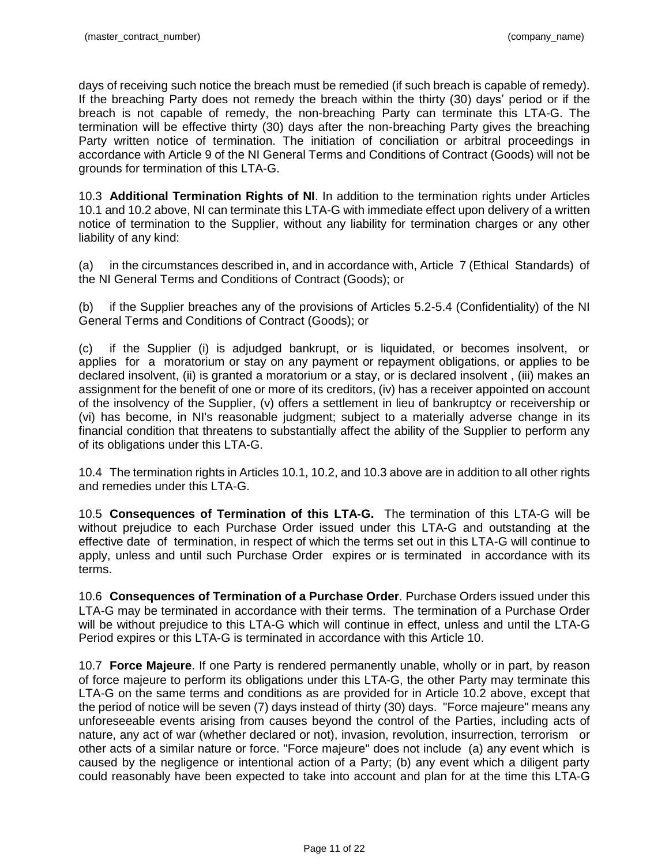days of receiving such notice the breach must be remedied (if such breach is capable of remedy). If the breaching Party does not remedy the breach within the thirty (30) days' period or if the breach is not capable of remedy, the non-breaching Party can terminate this LTA-G. The termination will be effective thirty (30) days after the non-breaching Party gives the breaching Party written notice of termination. The initiation of conciliation or arbitral proceedings in accordance with Article 9 of the NI General Terms and Conditions of Contract (Goods) will not be grounds for termination of this LTA-G.

10.3 **Additional Termination Rights of NI**. In addition to the termination rights under Articles 10.1 and 10.2 above, NI can terminate this LTA-G with immediate effect upon delivery of a written notice of termination to the Supplier, without any liability for termination charges or any other liability of any kind:

(a) in the circumstances described in, and in accordance with, Article 7 (Ethical Standards) of the NI General Terms and Conditions of Contract (Goods); or

(b) if the Supplier breaches any of the provisions of Articles 5.2-5.4 (Confidentiality) of the NI General Terms and Conditions of Contract (Goods); or

(c) if the Supplier (i) is adjudged bankrupt, or is liquidated, or becomes insolvent, or applies for a moratorium or stay on any payment or repayment obligations, or applies to be declared insolvent, (ii) is granted a moratorium or a stay, or is declared insolvent , (iii) makes an assignment for the benefit of one or more of its creditors, (iv) has a receiver appointed on account of the insolvency of the Supplier, (v) offers a settlement in lieu of bankruptcy or receivership or (vi) has become, in NI's reasonable judgment; subject to a materially adverse change in its financial condition that threatens to substantially affect the ability of the Supplier to perform any of its obligations under this LTA-G.

10.4 The termination rights in Articles 10.1, 10.2, and 10.3 above are in addition to alI other rights and remedies under this LTA-G.

10.5 **Consequences of Termination of this LTA-G.** The termination of this LTA-G will be without prejudice to each Purchase Order issued under this LTA-G and outstanding at the effective date of termination, in respect of which the terms set out in this LTA-G will continue to apply, unless and until such Purchase Order expires or is terminated in accordance with its terms.

10.6 **Consequences of Termination of a Purchase Order**. Purchase Orders issued under this LTA-G may be terminated in accordance with their terms. The termination of a Purchase Order will be without prejudice to this LTA-G which will continue in effect, unless and until the LTA-G Period expires or this LTA-G is terminated in accordance with this Article 10.

10.7 **Force Majeure**. If one Party is rendered permanently unable, wholly or in part, by reason of force majeure to perform its obligations under this LTA-G, the other Party may terminate this LTA-G on the same terms and conditions as are provided for in Article 10.2 above, except that the period of notice will be seven (7) days instead of thirty (30) days. "Force majeure" means any unforeseeable events arising from causes beyond the control of the Parties, including acts of nature, any act of war (whether declared or not), invasion, revolution, insurrection, terrorism or other acts of a similar nature or force. "Force majeure" does not include (a) any event which is caused by the negligence or intentional action of a Party; (b) any event which a diligent party could reasonably have been expected to take into account and plan for at the time this LTA-G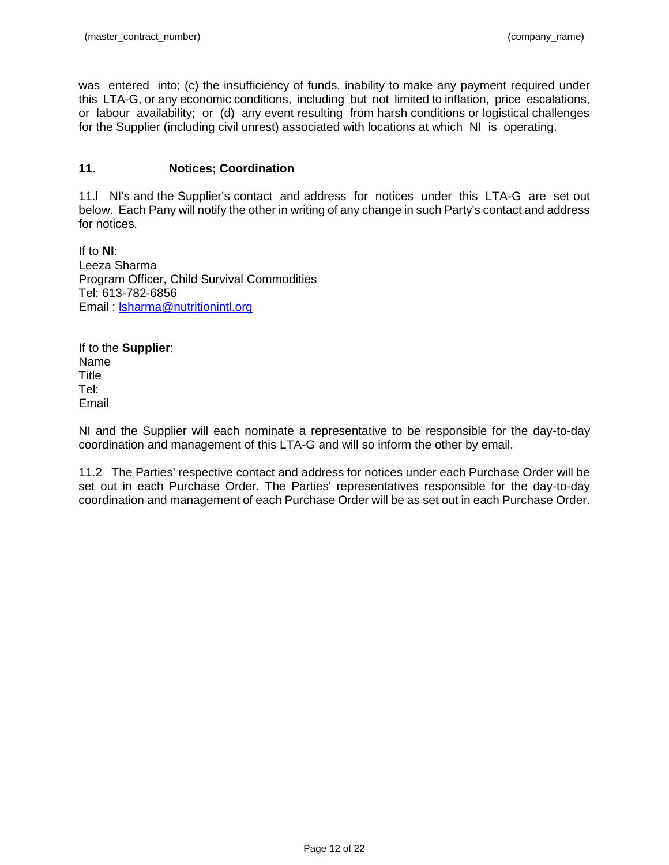was entered into; (c) the insufficiency of funds, inability to make any payment required under this LTA-G, or any economic conditions, including but not limited to inflation, price escalations, or labour availability; or (d) any event resulting from harsh conditions or logistical challenges for the Supplier (including civil unrest) associated with locations at which NI is operating.

# **11. Notices; Coordination**

11.l NI's and the Supplier's contact and address for notices under this LTA-G are set out below. Each Pany will notify the other in writing of any change in such Party's contact and address for notices.

If to **NI**: Leeza Sharma Program Officer, Child Survival Commodities Tel: 613-782-6856 Email : [lsharma@nutritionintl.org](mailto:lsharma@nutritionintl.org)

If to the **Supplier**: Name Title Tel: Email

NI and the Supplier will each nominate a representative to be responsible for the day-to-day coordination and management of this LTA-G and will so inform the other by email.

11.2 The Parties' respective contact and address for notices under each Purchase Order will be set out in each Purchase Order. The Parties' representatives responsible for the day-to-day coordination and management of each Purchase Order will be as set out in each Purchase Order.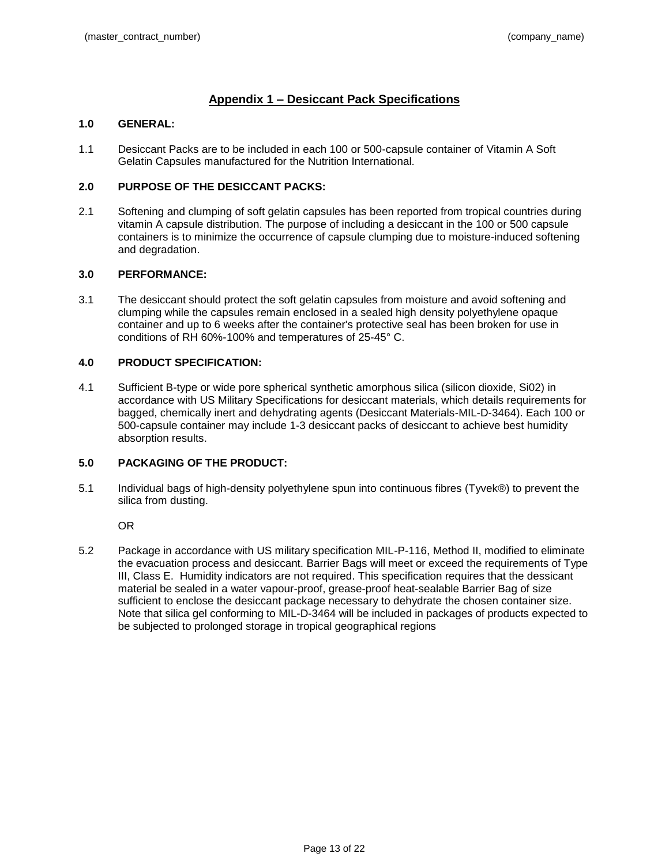# **Appendix 1 – Desiccant Pack Specifications**

### **1.0 GENERAL:**

1.1 Desiccant Packs are to be included in each 100 or 500-capsule container of Vitamin A Soft Gelatin Capsules manufactured for the Nutrition International.

### **2.0 PURPOSE OF THE DESICCANT PACKS:**

2.1 Softening and clumping of soft gelatin capsules has been reported from tropical countries during vitamin A capsule distribution. The purpose of including a desiccant in the 100 or 500 capsule containers is to minimize the occurrence of capsule clumping due to moisture-induced softening and degradation.

#### **3.0 PERFORMANCE:**

3.1 The desiccant should protect the soft gelatin capsules from moisture and avoid softening and clumping while the capsules remain enclosed in a sealed high density polyethylene opaque container and up to 6 weeks after the container's protective seal has been broken for use in conditions of RH 60%-100% and temperatures of 25-45° C.

### **4.0 PRODUCT SPECIFICATION:**

4.1 Sufficient B-type or wide pore spherical synthetic amorphous silica (silicon dioxide, Si02) in accordance with US Military Specifications for desiccant materials, which details requirements for bagged, chemically inert and dehydrating agents (Desiccant Materials-MIL-D-3464). Each 100 or 500-capsule container may include 1-3 desiccant packs of desiccant to achieve best humidity absorption results.

## **5.0 PACKAGING OF THE PRODUCT:**

5.1 Individual bags of high-density polyethylene spun into continuous fibres (Tyvek®) to prevent the silica from dusting.

OR

5.2 Package in accordance with US military specification MIL-P-116, Method II, modified to eliminate the evacuation process and desiccant. Barrier Bags will meet or exceed the requirements of Type III, Class E. Humidity indicators are not required. This specification requires that the dessicant material be sealed in a water vapour-proof, grease-proof heat-sealable Barrier Bag of size sufficient to enclose the desiccant package necessary to dehydrate the chosen container size. Note that silica gel conforming to MIL-D-3464 will be included in packages of products expected to be subjected to prolonged storage in tropical geographical regions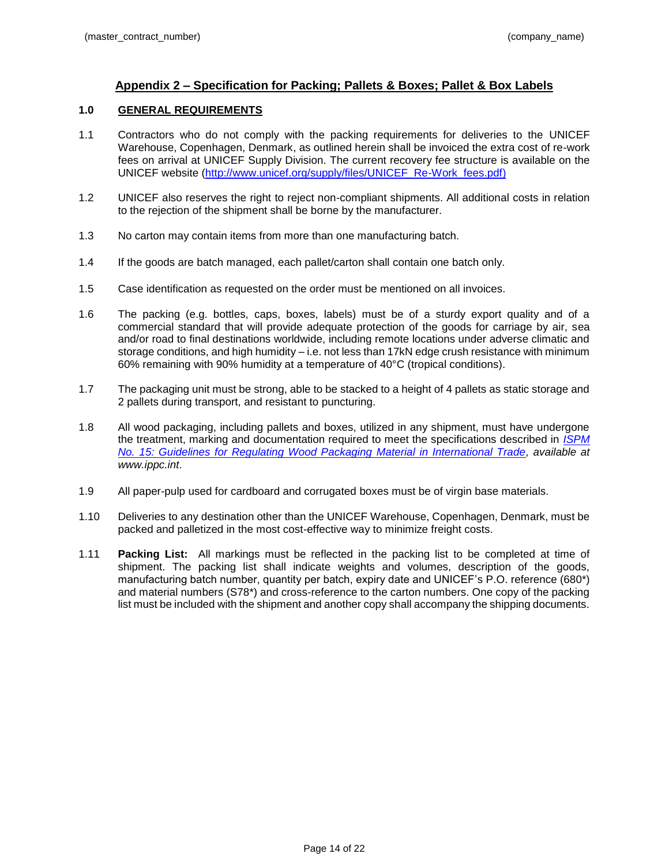# **Appendix 2 – Specification for Packing; Pallets & Boxes; Pallet & Box Labels**

## **1.0 GENERAL REQUIREMENTS**

- 1.1 Contractors who do not comply with the packing requirements for deliveries to the UNICEF Warehouse, Copenhagen, Denmark, as outlined herein shall be invoiced the extra cost of re-work fees on arrival at UNICEF Supply Division. The current recovery fee structure is available on the UNICEF website [\(http://www.unicef.org/supply/files/UNICEF\\_Re-Work\\_fees.pdf\)](http://www.unicef.org/supply/files/UNICEF_Re-Work_fees.pdf)
- 1.2 UNICEF also reserves the right to reject non-compliant shipments. All additional costs in relation to the rejection of the shipment shall be borne by the manufacturer.
- 1.3 No carton may contain items from more than one manufacturing batch.
- 1.4 If the goods are batch managed, each pallet/carton shall contain one batch only.
- 1.5 Case identification as requested on the order must be mentioned on all invoices.
- 1.6 The packing (e.g. bottles, caps, boxes, labels) must be of a sturdy export quality and of a commercial standard that will provide adequate protection of the goods for carriage by air, sea and/or road to final destinations worldwide, including remote locations under adverse climatic and storage conditions, and high humidity – i.e. not less than 17kN edge crush resistance with minimum 60% remaining with 90% humidity at a temperature of 40°C (tropical conditions).
- 1.7 The packaging unit must be strong, able to be stacked to a height of 4 pallets as static storage and 2 pallets during transport, and resistant to puncturing.
- 1.8 All wood packaging, including pallets and boxes, utilized in any shipment, must have undergone the treatment, marking and documentation required to meet the specifications described in *[ISPM](https://www.ippc.int/servlet/CDSServlet?status=ND0xMzM5OS4xMzM3MDMmNj1lbiYzMz1wdWJsaWNhdGlvbnMmc2hvd0NoaWxkcmVuPXRydWUmMzc9aW5mbw~~#koinfo)  [No. 15: Guidelines for Regulating Wood Packaging Material in International Trade,](https://www.ippc.int/servlet/CDSServlet?status=ND0xMzM5OS4xMzM3MDMmNj1lbiYzMz1wdWJsaWNhdGlvbnMmc2hvd0NoaWxkcmVuPXRydWUmMzc9aW5mbw~~#koinfo) available at www.ippc.int*.
- 1.9 All paper-pulp used for cardboard and corrugated boxes must be of virgin base materials.
- 1.10 Deliveries to any destination other than the UNICEF Warehouse, Copenhagen, Denmark, must be packed and palletized in the most cost-effective way to minimize freight costs.
- 1.11 **Packing List:** All markings must be reflected in the packing list to be completed at time of shipment. The packing list shall indicate weights and volumes, description of the goods, manufacturing batch number, quantity per batch, expiry date and UNICEF's P.O. reference (680\*) and material numbers (S78\*) and cross-reference to the carton numbers. One copy of the packing list must be included with the shipment and another copy shall accompany the shipping documents.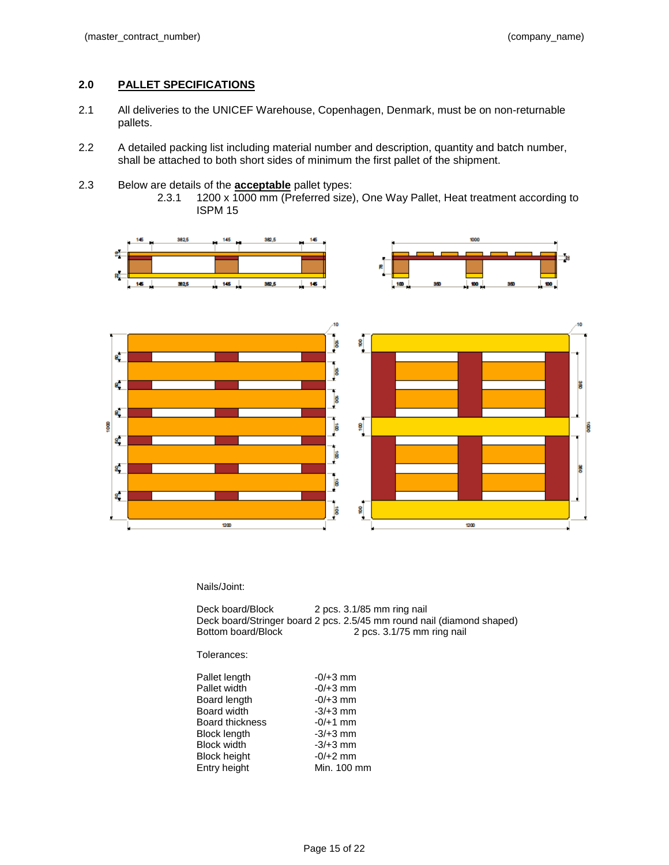## **2.0 PALLET SPECIFICATIONS**

- 2.1 All deliveries to the UNICEF Warehouse, Copenhagen, Denmark, must be on non-returnable pallets.
- 2.2 A detailed packing list including material number and description, quantity and batch number, shall be attached to both short sides of minimum the first pallet of the shipment.
- 2.3 Below are details of the **acceptable** pallet types:
	- 2.3.1 1200 x 1000 mm (Preferred size), One Way Pallet, Heat treatment according to ISPM 15



#### Nails/Joint:

Deck board/Block 2 pcs. 3.1/85 mm ring nail Deck board/Stringer board 2 pcs. 2.5/45 mm round nail (diamond shaped) 2 pcs. 3.1/75 mm ring nail

#### Tolerances:

| Pallet length          | $-0/+3$ mm  |
|------------------------|-------------|
| Pallet width           | $-0/+3$ mm  |
| Board length           | $-0/+3$ mm  |
| Board width            | $-3/+3$ mm  |
| <b>Board thickness</b> | $-0/+1$ mm  |
| Block length           | $-3/+3$ mm  |
| <b>Block width</b>     | $-3/+3$ mm  |
| Block height           | $-0/+2$ mm  |
| Entry height           | Min. 100 mm |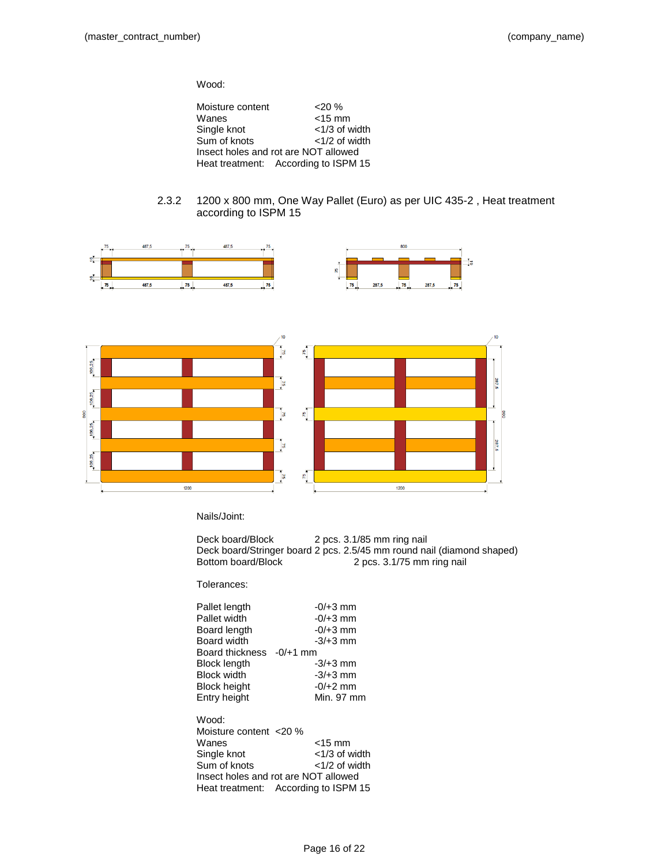Wood:

| Moisture content | $20\%$                               |
|------------------|--------------------------------------|
| Wanes            | $<$ 15 mm                            |
| Single knot      | $<$ 1/3 of width                     |
| Sum of knots     | $<$ 1/2 of width                     |
|                  | Insect holes and rot are NOT allowed |
|                  | Heat treatment: According to ISPM 15 |

### 2.3.2 1200 x 800 mm, One Way Pallet (Euro) as per UIC 435-2 , Heat treatment according to ISPM 15



Nails/Joint:

Deck board/Block 2 pcs. 3.1/85 mm ring nail Deck board/Stringer board 2 pcs. 2.5/45 mm round nail (diamond shaped) Bottom board/Block 2 pcs. 3.1/75 mm ring nail

Tolerances:

| Pallet length          | $-0/+3$ mm       |
|------------------------|------------------|
| Pallet width           | $-0/+3$ mm       |
| Board length           | $-0/+3$ mm       |
| Board width            | $-3/+3$ mm       |
| Board thickness        | $-0/+1$ mm       |
| <b>Block length</b>    | $-3/+3$ mm       |
| <b>Block width</b>     | $-3/+3$ mm       |
| <b>Block height</b>    | $-0/+2$ mm       |
| Entry height           | Min. 97 mm       |
|                        |                  |
| Wood:                  |                  |
| Moisture content <20 % |                  |
| Wanes                  | <15 mm           |
| Single knot            | $<$ 1/3 of width |
| Sum of knots           | $<$ 1/2 of width |

Insect holes and rot are NOT allowed Heat treatment: According to ISPM 15

Page 16 of 22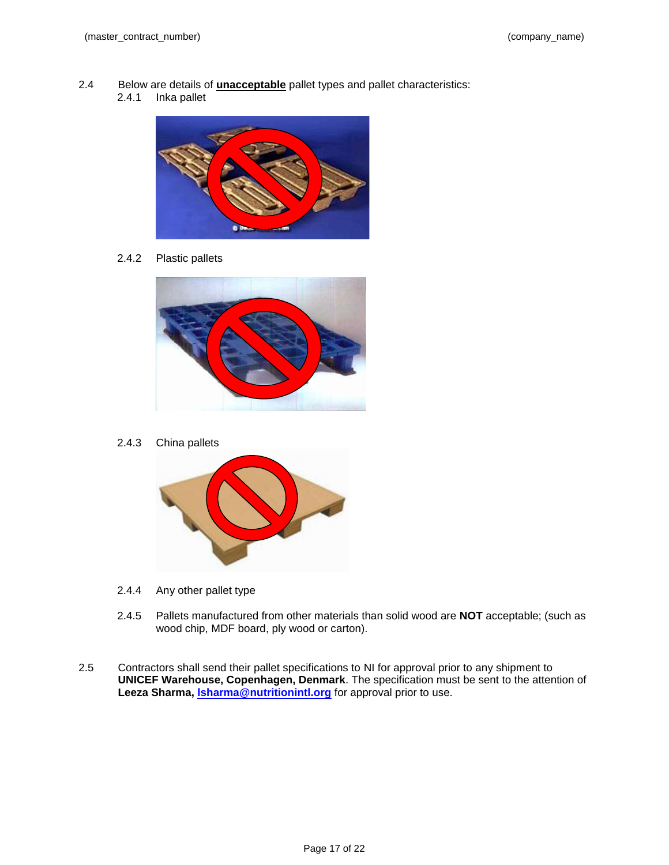- 2.4 Below are details of **unacceptable** pallet types and pallet characteristics:
	- 2.4.1 Inka pallet



2.4.2 Plastic pallets



2.4.3 China pallets



- 2.4.4 Any other pallet type
- 2.4.5 Pallets manufactured from other materials than solid wood are **NOT** acceptable; (such as wood chip, MDF board, ply wood or carton).
- 2.5 Contractors shall send their pallet specifications to NI for approval prior to any shipment to **UNICEF Warehouse, Copenhagen, Denmark**. The specification must be sent to the attention of **Leeza Sharma, [lsharma@nutritionintl.org](mailto:lsharma@nutritionintl.org)** for approval prior to use.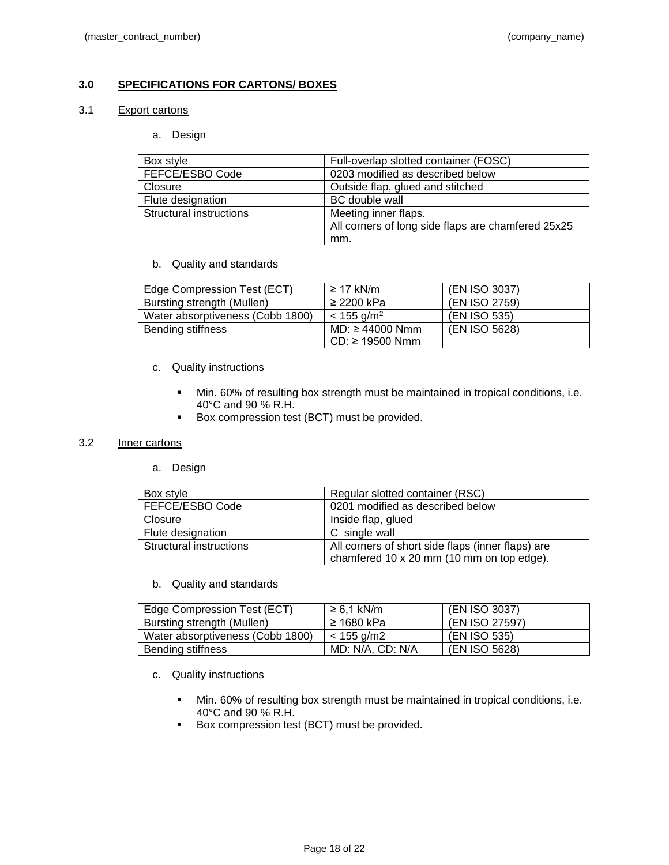## **3.0 SPECIFICATIONS FOR CARTONS/ BOXES**

#### 3.1 Export cartons

#### a. Design

| Box style               | Full-overlap slotted container (FOSC)              |
|-------------------------|----------------------------------------------------|
| FEFCE/ESBO Code         | 0203 modified as described below                   |
| Closure                 | Outside flap, glued and stitched                   |
| Flute designation       | BC double wall                                     |
| Structural instructions | Meeting inner flaps.                               |
|                         | All corners of long side flaps are chamfered 25x25 |
|                         | mm.                                                |

b. Quality and standards

| Edge Compression Test (ECT)      | $\geq$ 17 kN/m           | (EN ISO 3037) |
|----------------------------------|--------------------------|---------------|
| Bursting strength (Mullen)       | $\geq$ 2200 kPa          | (EN ISO 2759) |
| Water absorptiveness (Cobb 1800) | $< 155$ g/m <sup>2</sup> | (EN ISO 535)  |
| Bending stiffness                | $MD: \geq 44000$ Nmm     | (EN ISO 5628) |
|                                  | $CD: \geq 19500$ Nmm     |               |

- c. Quality instructions
	- Min. 60% of resulting box strength must be maintained in tropical conditions, i.e. 40°C and 90 % R.H.
	- Box compression test (BCT) must be provided.

#### 3.2 Inner cartons

a. Design

| Box style               | Regular slotted container (RSC)                   |
|-------------------------|---------------------------------------------------|
| FEFCE/ESBO Code         | 0201 modified as described below                  |
| Closure                 | Inside flap, glued                                |
| Flute designation       | C single wall                                     |
| Structural instructions | All corners of short side flaps (inner flaps) are |
|                         | chamfered 10 x 20 mm (10 mm on top edge).         |

b. Quality and standards

| Edge Compression Test (ECT)      | $\geq 6.1$ kN/m  | (EN ISO 3037)  |
|----------------------------------|------------------|----------------|
| Bursting strength (Mullen)       | ≥ 1680 kPa       | (EN ISO 27597) |
| Water absorptiveness (Cobb 1800) | $<$ 155 g/m2     | (EN ISO 535)   |
| Bending stiffness                | MD: N/A, CD: N/A | (EN ISO 5628)  |

- c. Quality instructions
	- Min. 60% of resulting box strength must be maintained in tropical conditions, i.e. 40°C and 90 % R.H.
	- **Box compression test (BCT) must be provided.**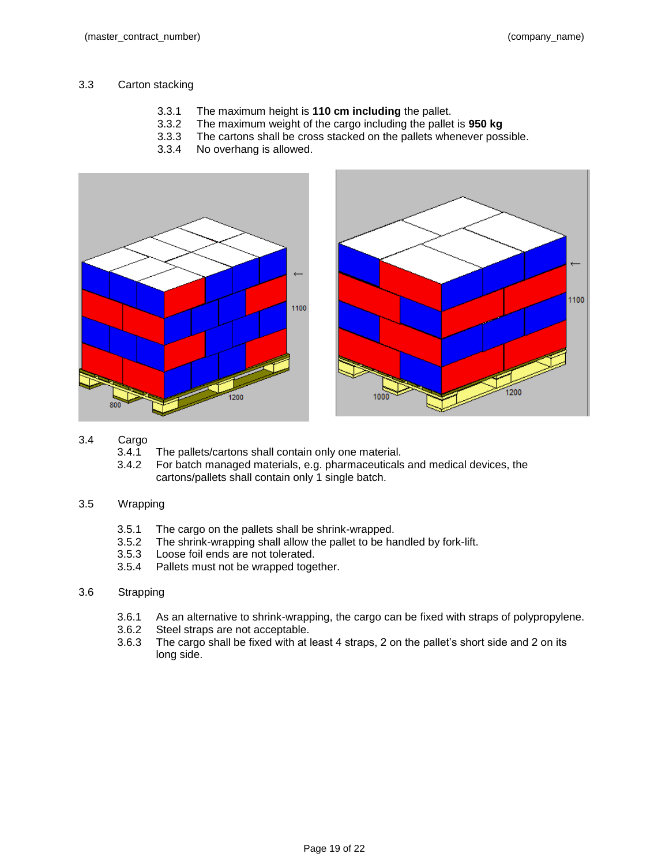1100

# 3.3 Carton stacking

- 3.3.1 The maximum height is **110 cm including** the pallet.
- 3.3.2 The maximum weight of the cargo including the pallet is **950 kg**
- 3.3.3 The cartons shall be cross stacked on the pallets whenever possible.
- 3.3.4 No overhang is allowed.



- 3.4 Cargo
	- 3.4.1 The pallets/cartons shall contain only one material.
	- 3.4.2 For batch managed materials, e.g. pharmaceuticals and medical devices, the cartons/pallets shall contain only 1 single batch.

## 3.5 Wrapping

- 3.5.1 The cargo on the pallets shall be shrink-wrapped.
- 3.5.2 The shrink-wrapping shall allow the pallet to be handled by fork-lift.
- 3.5.3 Loose foil ends are not tolerated.
- 3.5.4 Pallets must not be wrapped together.
- 3.6 Strapping
	- 3.6.1 As an alternative to shrink-wrapping, the cargo can be fixed with straps of polypropylene.
	- 3.6.2 Steel straps are not acceptable.
	- 3.6.3 The cargo shall be fixed with at least 4 straps, 2 on the pallet's short side and 2 on its long side.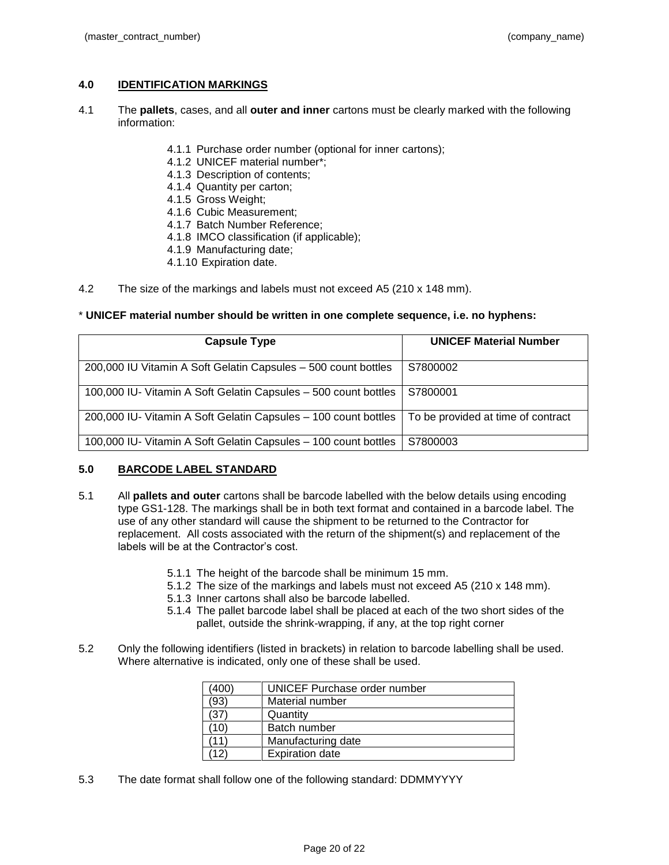## **4.0 IDENTIFICATION MARKINGS**

- 4.1 The **pallets**, cases, and all **outer and inner** cartons must be clearly marked with the following information:
	- 4.1.1 Purchase order number (optional for inner cartons);
	- 4.1.2 UNICEF material number\*;
	- 4.1.3 Description of contents;
	- 4.1.4 Quantity per carton;
	- 4.1.5 Gross Weight;
	- 4.1.6 Cubic Measurement;
	- 4.1.7 Batch Number Reference;
	- 4.1.8 IMCO classification (if applicable);
	- 4.1.9 Manufacturing date;
	- 4.1.10 Expiration date.
- 4.2 The size of the markings and labels must not exceed A5 (210 x 148 mm).

#### \* **UNICEF material number should be written in one complete sequence, i.e. no hyphens:**

| <b>Capsule Type</b>                                             | <b>UNICEF Material Number</b>      |
|-----------------------------------------------------------------|------------------------------------|
| 200,000 IU Vitamin A Soft Gelatin Capsules - 500 count bottles  | S7800002                           |
| 100,000 IU- Vitamin A Soft Gelatin Capsules - 500 count bottles | S7800001                           |
| 200,000 IU- Vitamin A Soft Gelatin Capsules - 100 count bottles | To be provided at time of contract |
| 100,000 IU- Vitamin A Soft Gelatin Capsules - 100 count bottles | S7800003                           |

#### **5.0 BARCODE LABEL STANDARD**

- 5.1 All **pallets and outer** cartons shall be barcode labelled with the below details using encoding type GS1-128. The markings shall be in both text format and contained in a barcode label. The use of any other standard will cause the shipment to be returned to the Contractor for replacement. All costs associated with the return of the shipment(s) and replacement of the labels will be at the Contractor's cost.
	- 5.1.1 The height of the barcode shall be minimum 15 mm.
	- 5.1.2 The size of the markings and labels must not exceed A5 (210 x 148 mm).
	- 5.1.3 Inner cartons shall also be barcode labelled.
	- 5.1.4 The pallet barcode label shall be placed at each of the two short sides of the pallet, outside the shrink-wrapping, if any, at the top right corner
- 5.2 Only the following identifiers (listed in brackets) in relation to barcode labelling shall be used. Where alternative is indicated, only one of these shall be used.

| (400) | UNICEF Purchase order number |
|-------|------------------------------|
| 93)   | Material number              |
|       | Quantity                     |
| ۱0    | Batch number                 |
|       | Manufacturing date           |
| 2     | <b>Expiration date</b>       |

5.3 The date format shall follow one of the following standard: DDMMYYYY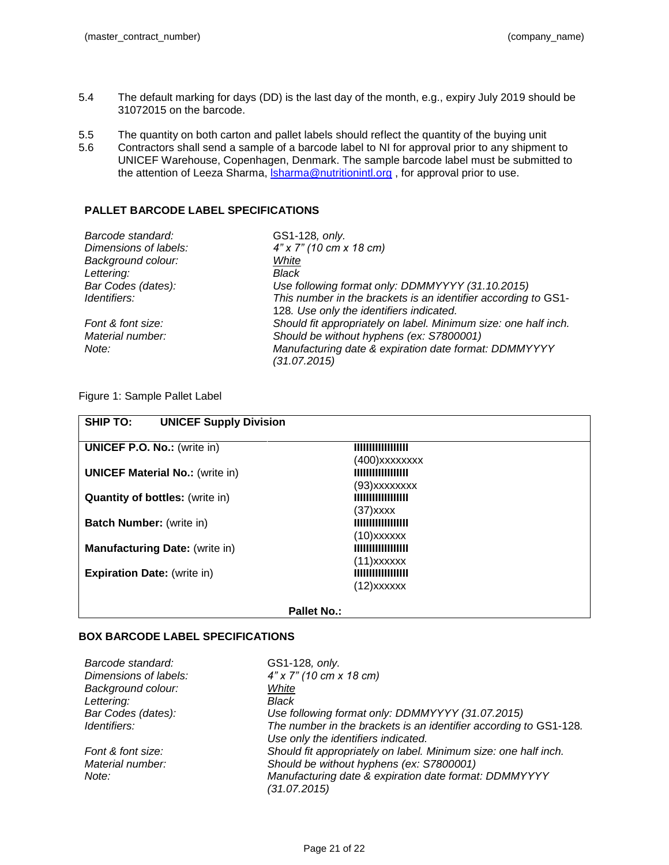- 5.4 The default marking for days (DD) is the last day of the month, e.g., expiry July 2019 should be 31072015 on the barcode.
- 5.5 The quantity on both carton and pallet labels should reflect the quantity of the buying unit
- 5.6 Contractors shall send a sample of a barcode label to NI for approval prior to any shipment to UNICEF Warehouse, Copenhagen, Denmark. The sample barcode label must be submitted to the attention of Leeza Sharma, *Isharma@nutritionintl.org*, for approval prior to use.

## **PALLET BARCODE LABEL SPECIFICATIONS**

| Barcode standard:     | GS1-128, only.                                                  |
|-----------------------|-----------------------------------------------------------------|
| Dimensions of labels: | $4"$ x 7" (10 cm x 18 cm)                                       |
| Background colour:    | White                                                           |
| Lettering:            | Black                                                           |
| Bar Codes (dates):    | Use following format only: DDMMYYYY (31.10.2015)                |
| <i>Identifiers:</i>   | This number in the brackets is an identifier according to GS1-  |
|                       | 128. Use only the identifiers indicated.                        |
| Font & font size:     | Should fit appropriately on label. Minimum size: one half inch. |
| Material number:      | Should be without hyphens (ex: S7800001)                        |
| Note:                 | Manufacturing date & expiration date format: DDMMYYYY           |
|                       | (31.07.2015)                                                    |
|                       |                                                                 |

## Figure 1: Sample Pallet Label

| <b>SHIP TO:</b><br><b>UNICEF Supply Division</b> |  |
|--------------------------------------------------|--|
|                                                  |  |
| (400)xxxxxxxx<br>                                |  |
| (93)xxxxxxxx<br>                                 |  |
| (37)xxxx                                         |  |
| <b>IIIIIIIIIIIIIIIII</b><br>$(10)$ xxxxxx        |  |
|                                                  |  |
| $(11)$ xxxxxx<br>                                |  |
| $(12)$ xxxxxx                                    |  |
|                                                  |  |

#### **Pallet No.:**

## **BOX BARCODE LABEL SPECIFICATIONS**

| Barcode standard:     | GS1-128, only.                                                    |
|-----------------------|-------------------------------------------------------------------|
| Dimensions of labels: | $4"$ x 7" (10 cm x 18 cm)                                         |
| Background colour:    | White                                                             |
| Lettering:            | Black                                                             |
| Bar Codes (dates):    | Use following format only: DDMMYYYY (31.07.2015)                  |
| Identifiers:          | The number in the brackets is an identifier according to GS1-128. |
|                       | Use only the identifiers indicated.                               |
| Font & font size:     | Should fit appropriately on label. Minimum size: one half inch.   |
| Material number:      | Should be without hyphens (ex: S7800001)                          |
| Note:                 | Manufacturing date & expiration date format: DDMMYYYY             |
|                       | (31.07.2015)                                                      |